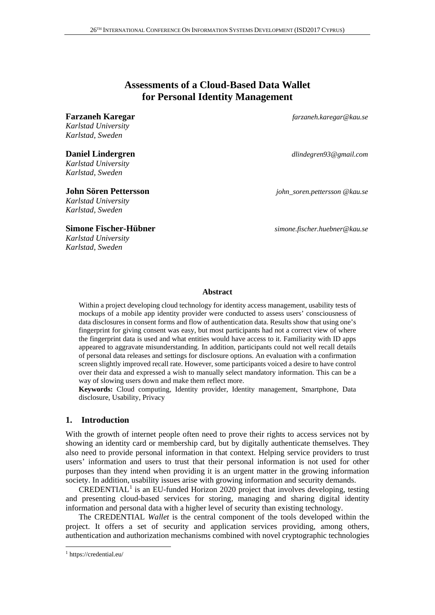# **Assessments of a Cloud-Based Data Wallet for Personal Identity Management**

#### **Farzaneh Karegar** *farzaneh.karegar@kau.se*

*Karlstad University Karlstad, Sweden*

*Karlstad University Karlstad, Sweden*

*Karlstad University Karlstad, Sweden*

#### **Simone Fischer-Hübner** *simone.fischer.huebner@kau.se*

*Karlstad University Karlstad, Sweden*

**Daniel Lindergren** *dlindegren93@gmail.com*

**John Sören Pettersson** *john\_soren.pettersson @kau.se*

## **Abstract**

Within a project developing cloud technology for identity access management, usability tests of mockups of a mobile app identity provider were conducted to assess users' consciousness of data disclosures in consent forms and flow of authentication data. Results show that using one's fingerprint for giving consent was easy, but most participants had not a correct view of where the fingerprint data is used and what entities would have access to it. Familiarity with ID apps appeared to aggravate misunderstanding. In addition, participants could not well recall details of personal data releases and settings for disclosure options. An evaluation with a confirmation screen slightly improved recall rate. However, some participants voiced a desire to have control over their data and expressed a wish to manually select mandatory information. This can be a way of slowing users down and make them reflect more.

**Keywords:** Cloud computing, Identity provider, Identity management, Smartphone, Data disclosure, Usability, Privacy

## **1. Introduction**

With the growth of internet people often need to prove their rights to access services not by showing an identity card or membership card, but by digitally authenticate themselves. They also need to provide personal information in that context. Helping service providers to trust users' information and users to trust that their personal information is not used for other purposes than they intend when providing it is an urgent matter in the growing information society. In addition, usability issues arise with growing information and security demands.

 $CREDENTIAL<sup>1</sup>$  $CREDENTIAL<sup>1</sup>$  $CREDENTIAL<sup>1</sup>$  is an EU-funded Horizon 2020 project that involves developing, testing and presenting cloud-based services for storing, managing and sharing digital identity information and personal data with a higher level of security than existing technology.

The CREDENTIAL *Wallet* is the central component of the tools developed within the project. It offers a set of security and application services providing, among others, authentication and authorization mechanisms combined with novel cryptographic technologies

<span id="page-0-0"></span> <sup>1</sup> <https://credential.eu/>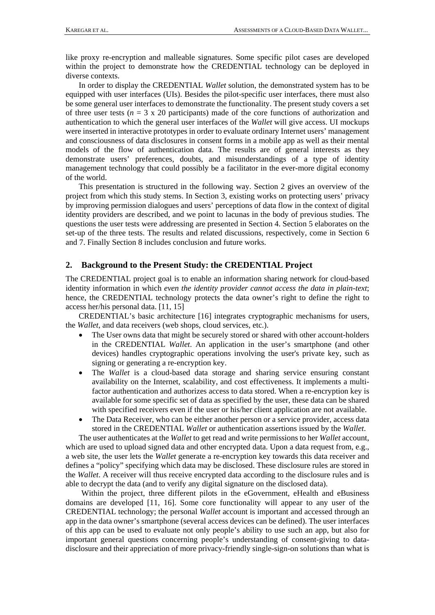like proxy re-encryption and malleable signatures. Some specific pilot cases are developed within the project to demonstrate how the CREDENTIAL technology can be deployed in diverse contexts.

In order to display the CREDENTIAL *Wallet* solution, the demonstrated system has to be equipped with user interfaces (UIs). Besides the pilot-specific user interfaces, there must also be some general user interfaces to demonstrate the functionality. The present study covers a set of three user tests ( $n = 3 \times 20$  participants) made of the core functions of authorization and authentication to which the general user interfaces of the *Wallet* will give access. UI mockups were inserted in interactive prototypes in order to evaluate ordinary Internet users' management and consciousness of data disclosures in consent forms in a mobile app as well as their mental models of the flow of authentication data. The results are of general interests as they demonstrate users' preferences, doubts, and misunderstandings of a type of identity management technology that could possibly be a facilitator in the ever-more digital economy of the world.

This presentation is structured in the following way. Section [2](#page-1-0) gives an overview of the project from which this study stems. In Section [3,](#page-2-0) existing works on protecting users' privacy by improving permission dialogues and users' perceptions of data flow in the context of digital identity providers are described, and we point to lacunas in the body of previous studies. The questions the user tests were addressing are presented in Section [4.](#page-3-0) Section [5](#page-3-1) elaborates on the set-up of the three tests. The results and related discussions, respectively, come in Section [6](#page-5-0) and [7.](#page-8-0) Finally Section [8](#page-9-0) includes conclusion and future works.

## <span id="page-1-0"></span>**2. Background to the Present Study: the CREDENTIAL Project**

The CREDENTIAL project goal is to enable an information sharing network for cloud-based identity information in which *even the identity provider cannot access the data in plain-text*; hence, the CREDENTIAL technology protects the data owner's right to define the right to access her/his personal data. [\[11,](#page-10-0) [15\]](#page-11-0)

CREDENTIAL's basic architecture [\[16\]](#page-11-1) integrates cryptographic mechanisms for users, the *Wallet*, and data receivers (web shops, cloud services, etc.).

- The User owns data that might be securely stored or shared with other account-holders in the CREDENTIAL *Wallet*. An application in the user's smartphone (and other devices) handles cryptographic operations involving the user's private key, such as signing or generating a re-encryption key.
- The *Wallet* is a cloud-based data storage and sharing service ensuring constant availability on the Internet, scalability, and cost effectiveness. It implements a multifactor authentication and authorizes access to data stored. When a re-encryption key is available for some specific set of data as specified by the user, these data can be shared with specified receivers even if the user or his/her client application are not available.
- The Data Receiver, who can be either another person or a service provider, access data stored in the CREDENTIAL *Wallet* or authentication assertions issued by the *Wallet*.

The user authenticates at the *Wallet* to get read and write permissions to her *Wallet* account, which are used to upload signed data and other encrypted data. Upon a data request from, e.g., a web site, the user lets the *Wallet* generate a re-encryption key towards this data receiver and defines a "policy" specifying which data may be disclosed. These disclosure rules are stored in the *Wallet*. A receiver will thus receive encrypted data according to the disclosure rules and is able to decrypt the data (and to verify any digital signature on the disclosed data).

Within the project, three different pilots in the eGovernment, eHealth and eBusiness domains are developed [\[11,](#page-10-0) [16\]](#page-11-1). Some core functionality will appear to any user of the CREDENTIAL technology; the personal *Wallet* account is important and accessed through an app in the data owner's smartphone (several access devices can be defined). The user interfaces of this app can be used to evaluate not only people's ability to use such an app, but also for important general questions concerning people's understanding of consent-giving to datadisclosure and their appreciation of more privacy-friendly single-sign-on solutions than what is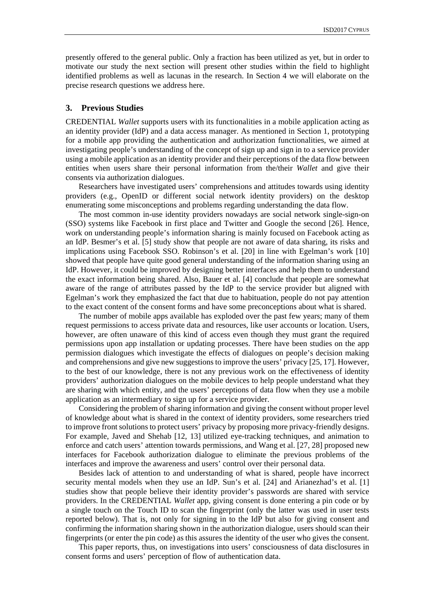presently offered to the general public. Only a fraction has been utilized as yet, but in order to motivate our study the next section will present other studies within the field to highlight identified problems as well as lacunas in the research. In Section 4 we will elaborate on the precise research questions we address here.

## <span id="page-2-0"></span>**3. Previous Studies**

CREDENTIAL *Wallet* supports users with its functionalities in a mobile application acting as an identity provider (IdP) and a data access manager. As mentioned in Section 1, prototyping for a mobile app providing the authentication and authorization functionalities, we aimed at investigating people's understanding of the concept of sign up and sign in to a service provider using a mobile application as an identity provider and their perceptions of the data flow between entities when users share their personal information from the/their *Wallet* and give their consents via authorization dialogues.

Researchers have investigated users' comprehensions and attitudes towards using identity providers (e.g., OpenID or different social network identity providers) on the desktop enumerating some misconceptions and problems regarding understanding the data flow.

The most common in-use identity providers nowadays are social network single-sign-on (SSO) systems like Facebook in first place and Twitter and Google the second [\[26\]](#page-11-2). Hence, work on understanding people's information sharing is mainly focused on Facebook acting as an IdP. Besmer's et al. [\[5\]](#page-10-1) study show that people are not aware of data sharing, its risks and implications using Facebook SSO. Robinson's et al. [\[20\]](#page-11-3) in line with Egelman's work [\[10\]](#page-10-2) showed that people have quite good general understanding of the information sharing using an IdP. However, it could be improved by designing better interfaces and help them to understand the exact information being shared. Also, Bauer et al. [\[4\]](#page-10-3) conclude that people are somewhat aware of the range of attributes passed by the IdP to the service provider but aligned with Egelman's work they emphasized the fact that due to habituation, people do not pay attention to the exact content of the consent forms and have some preconceptions about what is shared.

The number of mobile apps available has exploded over the past few years; many of them request permissions to access private data and resources, like user accounts or location. Users, however, are often unaware of this kind of access even though they must grant the required permissions upon app installation or updating processes. There have been studies on the app permission dialogues which investigate the effects of dialogues on people's decision making and comprehensions and give new suggestions to improve the users' privacy [\[25,](#page-11-4) [17\]](#page-11-5). However, to the best of our knowledge, there is not any previous work on the effectiveness of identity providers' authorization dialogues on the mobile devices to help people understand what they are sharing with which entity, and the users' perceptions of data flow when they use a mobile application as an intermediary to sign up for a service provider.

Considering the problem of sharing information and giving the consent without proper level of knowledge about what is shared in the context of identity providers, some researchers tried to improve front solutions to protect users' privacy by proposing more privacy-friendly designs. For example, Javed and Shehab [\[12,](#page-10-4) [13\]](#page-11-6) utilized eye-tracking techniques, and animation to enforce and catch users' attention towards permissions, and Wang et al. [\[27,](#page-11-7) [28\]](#page-11-8) proposed new interfaces for Facebook authorization dialogue to eliminate the previous problems of the interfaces and improve the awareness and users' control over their personal data.

Besides lack of attention to and understanding of what is shared, people have incorrect security mental models when they use an IdP. Sun's et al. [\[24\]](#page-11-9) and Arianezhad's et al. [\[1\]](#page-10-5) studies show that people believe their identity provider's passwords are shared with service providers. In the CREDENTIAL *Wallet* app, giving consent is done entering a pin code or by a single touch on the Touch ID to scan the fingerprint (only the latter was used in user tests reported below). That is, not only for signing in to the IdP but also for giving consent and confirming the information sharing shown in the authorization dialogue, users should scan their fingerprints (or enter the pin code) as this assures the identity of the user who gives the consent.

This paper reports, thus, on investigations into users' consciousness of data disclosures in consent forms and users' perception of flow of authentication data.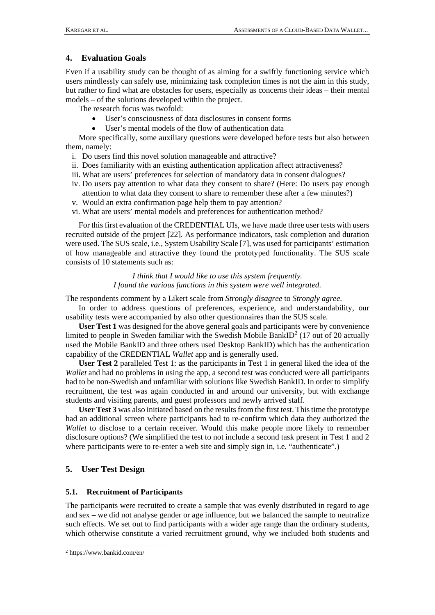## <span id="page-3-0"></span>**4. Evaluation Goals**

Even if a usability study can be thought of as aiming for a swiftly functioning service which users mindlessly can safely use, minimizing task completion times is not the aim in this study, but rather to find what are obstacles for users, especially as concerns their ideas – their mental models – of the solutions developed within the project.

The research focus was twofold:

- User's consciousness of data disclosures in consent forms
- User's mental models of the flow of authentication data

More specifically, some auxiliary questions were developed before tests but also between them, namely:

- i. Do users find this novel solution manageable and attractive?
- ii. Does familiarity with an existing authentication application affect attractiveness?
- iii. What are users' preferences for selection of mandatory data in consent dialogues?
- iv. Do users pay attention to what data they consent to share? (Here: Do users pay enough attention to what data they consent to share to remember these after a few minutes?)
- v. Would an extra confirmation page help them to pay attention?
- vi. What are users' mental models and preferences for authentication method?

For this first evaluation of the CREDENTIAL UIs, we have made three user tests with users recruited outside of the project [\[22\]](#page-11-10). As performance indicators, task completion and duration were used. The SUS scale, i.e., System Usability Scale [\[7\]](#page-10-6), was used for participants' estimation of how manageable and attractive they found the prototyped functionality. The SUS scale consists of 10 statements such as:

> *I think that I would like to use this system frequently. I found the various functions in this system were well integrated.*

The respondents comment by a Likert scale from *Strongly disagree* to *Strongly agree*.

In order to address questions of preferences, experience, and understandability, our usability tests were accompanied by also other questionnaires than the SUS scale.

**User Test 1** was designed for the above general goals and participants were by convenience limited to people in Sweden familiar with the Swedish Mobile BankID<sup>[2](#page-3-2)</sup> (17 out of 20 actually used the Mobile BankID and three others used Desktop BankID) which has the authentication capability of the CREDENTIAL *Wallet* app and is generally used.

**User Test 2** paralleled Test 1: as the participants in Test 1 in general liked the idea of the *Wallet* and had no problems in using the app, a second test was conducted were all participants had to be non-Swedish and unfamiliar with solutions like Swedish BankID. In order to simplify recruitment, the test was again conducted in and around our university, but with exchange students and visiting parents, and guest professors and newly arrived staff.

**User Test 3** was also initiated based on the results from the first test. This time the prototype had an additional screen where participants had to re-confirm which data they authorized the *Wallet* to disclose to a certain receiver. Would this make people more likely to remember disclosure options? (We simplified the test to not include a second task present in Test 1 and 2 where participants were to re-enter a web site and simply sign in, i.e. "authenticate".)

## <span id="page-3-1"></span>**5. User Test Design**

### **5.1. Recruitment of Participants**

The participants were recruited to create a sample that was evenly distributed in regard to age and sex – we did not analyse gender or age influence, but we balanced the sample to neutralize such effects. We set out to find participants with a wider age range than the ordinary students, which otherwise constitute a varied recruitment ground, why we included both students and

<span id="page-3-2"></span> <sup>2</sup> https://www.bankid.com/en/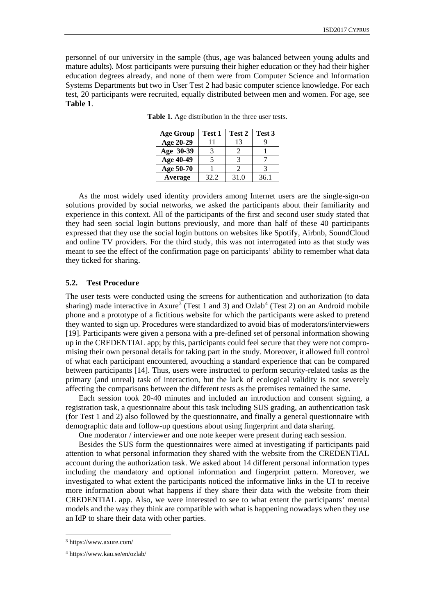<span id="page-4-0"></span>personnel of our university in the sample (thus, age was balanced between young adults and mature adults). Most participants were pursuing their higher education or they had their higher education degrees already, and none of them were from Computer Science and Information Systems Departments but two in User Test 2 had basic computer science knowledge. For each test, 20 participants were recruited, equally distributed between men and women. For age, see **[Table 1](#page-4-0)**.

| <b>Age Group</b> | Test 1 | Test 2 | Test 3 |
|------------------|--------|--------|--------|
| Age 20-29        | 11     | 13     |        |
| Age 30-39        |        |        |        |
| Age 40-49        |        |        |        |
| Age 50-70        |        |        |        |
| Average          | 32.2   | 31.0   | 36.1   |

**Table 1.** Age distribution in the three user tests.

As the most widely used identity providers among Internet users are the single-sign-on solutions provided by social networks, we asked the participants about their familiarity and experience in this context. All of the participants of the first and second user study stated that they had seen social login buttons previously, and more than half of these 40 participants expressed that they use the social login buttons on websites like Spotify, Airbnb, SoundCloud and online TV providers. For the third study, this was not interrogated into as that study was meant to see the effect of the confirmation page on participants' ability to remember what data they ticked for sharing.

#### **5.2. Test Procedure**

The user tests were conducted using the screens for authentication and authorization (to data sharing) made interactive in Axure<sup>[3](#page-4-1)</sup> (Test 1 and 3) and Ozlab<sup>[4](#page-4-2)</sup> (Test 2) on an Android mobile phone and a prototype of a fictitious website for which the participants were asked to pretend they wanted to sign up. Procedures were standardized to avoid bias of moderators/interviewers [\[19\]](#page-11-11). Participants were given a persona with a pre-defined set of personal information showing up in the CREDENTIAL app; by this, participants could feel secure that they were not compromising their own personal details for taking part in the study. Moreover, it allowed full control of what each participant encountered, avouching a standard experience that can be compared between participants [\[14\]](#page-11-12). Thus, users were instructed to perform security-related tasks as the primary (and unreal) task of interaction, but the lack of ecological validity is not severely affecting the comparisons between the different tests as the premises remained the same.

Each session took 20-40 minutes and included an introduction and consent signing, a registration task, a questionnaire about this task including SUS grading, an authentication task (for Test 1 and 2) also followed by the questionnaire, and finally a general questionnaire with demographic data and follow-up questions about using fingerprint and data sharing.

One moderator / interviewer and one note keeper were present during each session.

Besides the SUS form the questionnaires were aimed at investigating if participants paid attention to what personal information they shared with the website from the CREDENTIAL account during the authorization task. We asked about 14 different personal information types including the mandatory and optional information and fingerprint pattern. Moreover, we investigated to what extent the participants noticed the informative links in the UI to receive more information about what happens if they share their data with the website from their CREDENTIAL app. Also, we were interested to see to what extent the participants' mental models and the way they think are compatible with what is happening nowadays when they use an IdP to share their data with other parties.

<span id="page-4-1"></span> <sup>3</sup> <https://www.axure.com/>

<span id="page-4-2"></span><sup>4</sup> <https://www.kau.se/en/ozlab/>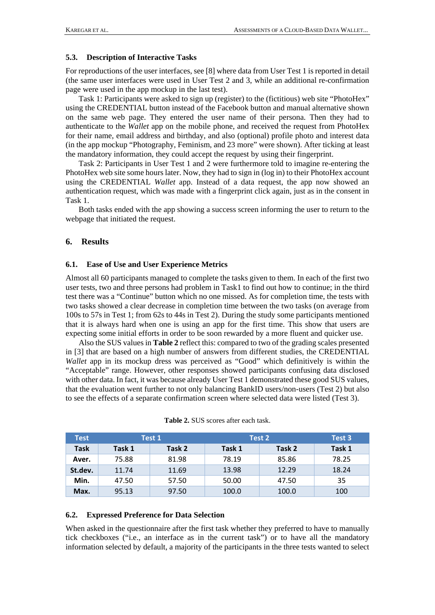## **5.3. Description of Interactive Tasks**

For reproductions of the user interfaces, see [\[8\]](#page-10-7) where data from User Test 1 is reported in detail (the same user interfaces were used in User Test 2 and 3, while an additional re-confirmation page were used in the app mockup in the last test).

Task 1: Participants were asked to sign up (register) to the (fictitious) web site "PhotoHex" using the CREDENTIAL button instead of the Facebook button and manual alternative shown on the same web page. They entered the user name of their persona. Then they had to authenticate to the *Wallet* app on the mobile phone, and received the request from PhotoHex for their name, email address and birthday, and also (optional) profile photo and interest data (in the app mockup "Photography, Feminism, and 23 more" were shown). After ticking at least the mandatory information, they could accept the request by using their fingerprint.

Task 2: Participants in User Test 1 and 2 were furthermore told to imagine re-entering the PhotoHex web site some hours later. Now, they had to sign in (log in) to their PhotoHex account using the CREDENTIAL *Wallet* app. Instead of a data request, the app now showed an authentication request, which was made with a fingerprint click again, just as in the consent in Task 1.

Both tasks ended with the app showing a success screen informing the user to return to the webpage that initiated the request.

## <span id="page-5-0"></span>**6. Results**

## **6.1. Ease of Use and User Experience Metrics**

Almost all 60 participants managed to complete the tasks given to them. In each of the first two user tests, two and three persons had problem in Task1 to find out how to continue; in the third test there was a "Continue" button which no one missed. As for completion time, the tests with two tasks showed a clear decrease in completion time between the two tasks (on average from 100s to 57s in Test 1; from 62s to 44s in Test 2). During the study some participants mentioned that it is always hard when one is using an app for the first time. This show that users are expecting some initial efforts in order to be soon rewarded by a more fluent and quicker use.

Also the SUS values in **[Table 2](#page-5-1)** reflect this: compared to two of the grading scales presented in [\[3\]](#page-10-8) that are based on a high number of answers from different studies, the CREDENTIAL *Wallet* app in its mockup dress was perceived as "Good" which definitively is within the "Acceptable" range. However, other responses showed participants confusing data disclosed with other data. In fact, it was because already User Test 1 demonstrated these good SUS values, that the evaluation went further to not only balancing BankID users/non-users (Test 2) but also to see the effects of a separate confirmation screen where selected data were listed (Test 3).

<span id="page-5-1"></span>

| Test        |        | Test 1 |        | Test 2 | Test 3 |
|-------------|--------|--------|--------|--------|--------|
| <b>Task</b> | Task 1 | Task 2 | Task 1 | Task 2 | Task 1 |
| Aver.       | 75.88  | 81.98  | 78.19  | 85.86  | 78.25  |
| St.dev.     | 11.74  | 11.69  | 13.98  | 12.29  | 18.24  |
| Min.        | 47.50  | 57.50  | 50.00  | 47.50  | 35     |
| Max.        | 95.13  | 97.50  | 100.0  | 100.0  | 100    |

| <b>Table 2.</b> SUS scores after each task. |  |  |
|---------------------------------------------|--|--|
|---------------------------------------------|--|--|

## <span id="page-5-2"></span>**6.2. Expressed Preference for Data Selection**

When asked in the questionnaire after the first task whether they preferred to have to manually tick checkboxes ("i.e., an interface as in the current task") or to have all the mandatory information selected by default, a majority of the participants in the three tests wanted to select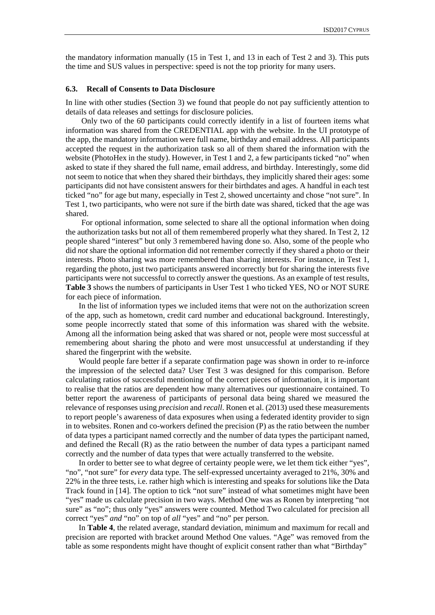the mandatory information manually (15 in Test 1, and 13 in each of Test 2 and 3). This puts the time and SUS values in perspective: speed is not the top priority for many users.

#### <span id="page-6-0"></span>**6.3. Recall of Consents to Data Disclosure**

In line with other studies (Section [3\)](#page-2-0) we found that people do not pay sufficiently attention to details of data releases and settings for disclosure policies.

Only two of the 60 participants could correctly identify in a list of fourteen items what information was shared from the CREDENTIAL app with the website. In the UI prototype of the app, the mandatory information were full name, birthday and email address. All participants accepted the request in the authorization task so all of them shared the information with the website (PhotoHex in the study). However, in Test 1 and 2, a few participants ticked "no" when asked to state if they shared the full name, email address, and birthday. Interestingly, some did not seem to notice that when they shared their birthdays, they implicitly shared their ages: some participants did not have consistent answers for their birthdates and ages. A handful in each test ticked "no" for age but many, especially in Test 2, showed uncertainty and chose "not sure". In Test 1, two participants, who were not sure if the birth date was shared, ticked that the age was shared.

For optional information, some selected to share all the optional information when doing the authorization tasks but not all of them remembered properly what they shared. In Test 2, 12 people shared "interest" but only 3 remembered having done so. Also, some of the people who did *not* share the optional information did not remember correctly if they shared a photo or their interests. Photo sharing was more remembered than sharing interests. For instance, in Test 1, regarding the photo, just two participants answered incorrectly but for sharing the interests five participants were not successful to correctly answer the questions. As an example of test results, **[Table 3](#page-7-0)** shows the numbers of participants in User Test 1 who ticked YES, NO or NOT SURE for each piece of information.

In the list of information types we included items that were not on the authorization screen of the app, such as hometown, credit card number and educational background. Interestingly, some people incorrectly stated that some of this information was shared with the website. Among all the information being asked that was shared or not, people were most successful at remembering about sharing the photo and were most unsuccessful at understanding if they shared the fingerprint with the website.

Would people fare better if a separate confirmation page was shown in order to re-inforce the impression of the selected data? User Test 3 was designed for this comparison. Before calculating ratios of successful mentioning of the correct pieces of information, it is important to realise that the ratios are dependent how many alternatives our questionnaire contained. To better report the awareness of participants of personal data being shared we measured the relevance of responses using *precision* and *recall*. Ronen et al. (2013) used these measurements to report people's awareness of data exposures when using a federated identity provider to sign in to websites. Ronen and co-workers defined the precision (P) as the ratio between the number of data types a participant named correctly and the number of data types the participant named, and defined the Recall (R) as the ratio between the number of data types a participant named correctly and the number of data types that were actually transferred to the website.

In order to better see to what degree of certainty people were, we let them tick either "yes", "no", "not sure" for *every* data type. The self-expressed uncertainty averaged to 21%, 30% and 22% in the three tests, i.e. rather high which is interesting and speaks for solutions like the Data Track found in [\[14\]](#page-11-12). The option to tick "not sure" instead of what sometimes might have been "yes" made us calculate precision in two ways. Method One was as Ronen by interpreting "not sure" as "no"; thus only "yes" answers were counted. Method Two calculated for precision all correct "yes" *and* "no" on top of *all* "yes" and "no" per person.

In **[Table 4](#page-7-1)**, the related average, standard deviation, minimum and maximum for recall and precision are reported with bracket around Method One values. "Age" was removed from the table as some respondents might have thought of explicit consent rather than what "Birthday"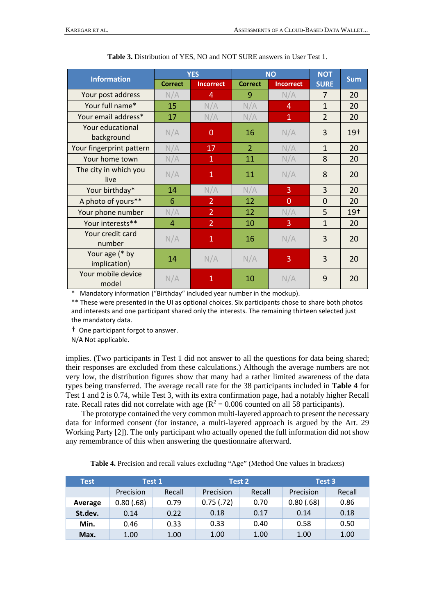<span id="page-7-0"></span>

| <b>Information</b>             | <b>YES</b>     |                  | <b>NO</b>      |                  | <b>NOT</b>     | <b>Sum</b> |
|--------------------------------|----------------|------------------|----------------|------------------|----------------|------------|
|                                | <b>Correct</b> | <b>Incorrect</b> | <b>Correct</b> | <b>Incorrect</b> | <b>SURE</b>    |            |
| Your post address              | N/A            | 4                | 9              | N/A              | 7              | 20         |
| Your full name*                | 15             | N/A              | N/A            | $\overline{4}$   | $\mathbf{1}$   | 20         |
| Your email address*            | 17             | N/A              | N/A            | $\overline{1}$   | $\overline{2}$ | 20         |
| Your educational<br>background | N/A            | 0                | 16             | N/A              | 3              | $19+$      |
| Your fingerprint pattern       | N/A            | 17               | $\overline{2}$ | N/A              | $\mathbf{1}$   | 20         |
| Your home town                 | N/A            | 1                | 11             | N/A              | 8              | 20         |
| The city in which you<br>live  | N/A            | $\mathbf{1}$     | 11             | N/A              | 8              | 20         |
| Your birthday*                 | 14             | N/A              | N/A            | 3                | 3              | 20         |
| A photo of yours**             | 6              | $\overline{2}$   | 12             | $\mathbf{0}$     | $\mathbf{0}$   | 20         |
| Your phone number              | N/A            | $\overline{2}$   | 12             | N/A              | 5              | $19+$      |
| Your interests**               | 4              | $\overline{2}$   | 10             | 3                | $\mathbf{1}$   | 20         |
| Your credit card<br>number     | N/A            | $\mathbf{1}$     | 16             | N/A              | 3              | 20         |
| Your age (* by<br>implication) | 14             | N/A              | N/A            | 3                | 3              | 20         |
| Your mobile device<br>model    | N/A            | 1                | 10             | N/A              | 9              | 20         |

**Table 3.** Distribution of YES, NO and NOT SURE answers in User Test 1.

\* Mandatory information ("Birthday" included year number in the mockup).

\*\* These were presented in the UI as optional choices. Six participants chose to share both photos and interests and one participant shared only the interests. The remaining thirteen selected just the mandatory data.

† One participant forgot to answer.

N/A Not applicable.

implies. (Two participants in Test 1 did not answer to all the questions for data being shared; their responses are excluded from these calculations.) Although the average numbers are not very low, the distribution figures show that many had a rather limited awareness of the data types being transferred. The average recall rate for the 38 participants included in **[Table 4](#page-7-1)** for Test 1 and 2 is 0.74, while Test 3, with its extra confirmation page, had a notably higher Recall rate. Recall rates did not correlate with age  $(R^2 = 0.006$  counted on all 58 participants).

The prototype contained the very common multi-layered approach to present the necessary data for informed consent (for instance, a multi-layered approach is argued by the Art. 29 Working Party [\[2\]](#page-10-9)). The only participant who actually opened the full information did not show any remembrance of this when answering the questionnaire afterward.

**Table 4.** Precision and recall values excluding "Age" (Method One values in brackets)

<span id="page-7-1"></span>

| <b>Test</b> | Test 1     |        | Test 2     |        | Test 3     |        |
|-------------|------------|--------|------------|--------|------------|--------|
|             | Precision  | Recall | Precision  | Recall | Precision  | Recall |
| Average     | 0.80(0.68) | 0.79   | 0.75(0.72) | 0.70   | 0.80(0.68) | 0.86   |
| St.dev.     | 0.14       | 0.22   | 0.18       | 0.17   | 0.14       | 0.18   |
| Min.        | 0.46       | 0.33   | 0.33       | 0.40   | 0.58       | 0.50   |
| Max.        | 1.00       | 1.00   | 1.00       | 1.00   | 1.00       | 1.00   |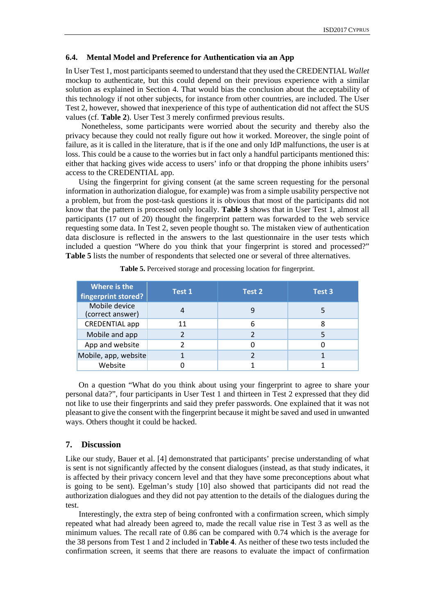## <span id="page-8-2"></span>**6.4. Mental Model and Preference for Authentication via an App**

In User Test 1, most participants seemed to understand that they used the CREDENTIAL *Wallet* mockup to authenticate, but this could depend on their previous experience with a similar solution as explained in Section [4.](#page-3-0) That would bias the conclusion about the acceptability of this technology if not other subjects, for instance from other countries, are included. The User Test 2, however, showed that inexperience of this type of authentication did not affect the SUS values (cf. **[Table 2](#page-5-1)**). User Test 3 merely confirmed previous results.

Nonetheless, some participants were worried about the security and thereby also the privacy because they could not really figure out how it worked. Moreover, the single point of failure, as it is called in the literature, that is if the one and only IdP malfunctions, the user is at loss. This could be a cause to the worries but in fact only a handful participants mentioned this: either that hacking gives wide access to users' info or that dropping the phone inhibits users' access to the CREDENTIAL app.

Using the fingerprint for giving consent (at the same screen requesting for the personal information in authorization dialogue, for example) was from a simple usability perspective not a problem, but from the post-task questions it is obvious that most of the participants did not know that the pattern is processed only locally. **[Table 3](#page-7-0)** shows that in User Test 1, almost all participants (17 out of 20) thought the fingerprint pattern was forwarded to the web service requesting some data. In Test 2, seven people thought so. The mistaken view of authentication data disclosure is reflected in the answers to the last questionnaire in the user tests which included a question "Where do you think that your fingerprint is stored and processed?" [Table 5](#page-8-1) lists the number of respondents that selected one or several of three alternatives.

<span id="page-8-1"></span>

| Where is the<br>fingerprint stored? | Test 1 | Test 2 | Test 3 |
|-------------------------------------|--------|--------|--------|
| Mobile device<br>(correct answer)   |        |        |        |
| <b>CREDENTIAL app</b>               | 11     | 6      |        |
| Mobile and app                      |        |        |        |
| App and website                     |        |        |        |
| Mobile, app, website                |        |        |        |
| Website                             |        |        |        |

**Table 5.** Perceived storage and processing location for fingerprint.

On a question "What do you think about using your fingerprint to agree to share your personal data?", four participants in User Test 1 and thirteen in Test 2 expressed that they did not like to use their fingerprints and said they prefer passwords. One explained that it was not pleasant to give the consent with the fingerprint because it might be saved and used in unwanted ways. Others thought it could be hacked.

### <span id="page-8-0"></span>**7. Discussion**

Like our study, Bauer et al. [\[4\]](#page-10-3) demonstrated that participants' precise understanding of what is sent is not significantly affected by the consent dialogues (instead, as that study indicates, it is affected by their privacy concern level and that they have some preconceptions about what is going to be sent). Egelman's study [\[10\]](#page-10-2) also showed that participants did not read the authorization dialogues and they did not pay attention to the details of the dialogues during the test.

Interestingly, the extra step of being confronted with a confirmation screen, which simply repeated what had already been agreed to, made the recall value rise in Test 3 as well as the minimum values. The recall rate of 0.86 can be compared with 0.74 which is the average for the 38 persons from Test 1 and 2 included in **[Table 4](#page-7-1)**. As neither of these two tests included the confirmation screen, it seems that there are reasons to evaluate the impact of confirmation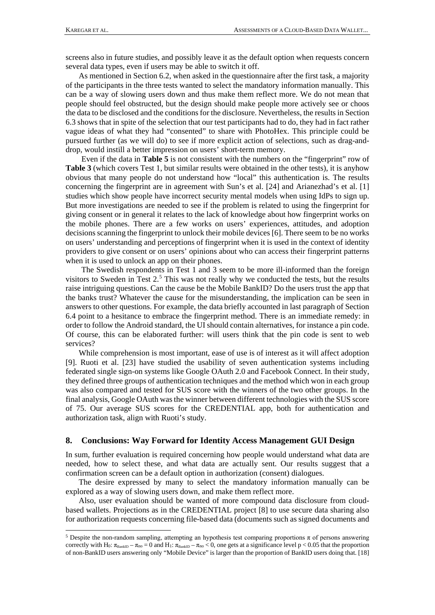screens also in future studies, and possibly leave it as the default option when requests concern several data types, even if users may be able to switch it off.

As mentioned in Section [6.2,](#page-5-2) when asked in the questionnaire after the first task, a majority of the participants in the three tests wanted to select the mandatory information manually. This can be a way of slowing users down and thus make them reflect more. We do not mean that people should feel obstructed, but the design should make people more actively see or choos the data to be disclosed and the conditions for the disclosure. Nevertheless, the results in Section [6.3](#page-6-0) shows that in spite of the selection that our test participants had to do, they had in fact rather vague ideas of what they had "consented" to share with PhotoHex. This principle could be pursued further (as we will do) to see if more explicit action of selections, such as drag-anddrop, would instill a better impression on users' short-term memory.

Even if the data in **[Table 5](#page-8-1)** is not consistent with the numbers on the "fingerprint" row of **Table 3** (which covers Test 1, but similar results were obtained in the other tests), it is anyhow obvious that many people do not understand how "local" this authentication is. The results concerning the fingerprint are in agreement with Sun's et al. [\[24\]](#page-11-9) and Arianezhad's et al. [\[1\]](#page-10-5) studies which show people have incorrect security mental models when using IdPs to sign up. But more investigations are needed to see if the problem is related to using the fingerprint for giving consent or in general it relates to the lack of knowledge about how fingerprint works on the mobile phones. There are a few works on users' experiences, attitudes, and adoption decisions scanning the fingerprint to unlock their mobile devices [\[6\]](#page-10-10). There seem to be no works on users' understanding and perceptions of fingerprint when it is used in the context of identity providers to give consent or on users' opinions about who can access their fingerprint patterns when it is used to unlock an app on their phones.

The Swedish respondents in Test 1 and 3 seem to be more ill-informed than the foreign visitors to Sweden in Test  $2<sup>5</sup>$  $2<sup>5</sup>$  $2<sup>5</sup>$ . This was not really why we conducted the tests, but the results raise intriguing questions. Can the cause be the Mobile BankID? Do the users trust the app that the banks trust? Whatever the cause for the misunderstanding, the implication can be seen in answers to other questions. For example, the data briefly accounted in last paragraph of Section [6.4](#page-8-2) point to a hesitance to embrace the fingerprint method. There is an immediate remedy: in order to follow the Android standard, the UI should contain alternatives, for instance a pin code. Of course, this can be elaborated further: will users think that the pin code is sent to web services?

While comprehension is most important, ease of use is of interest as it will affect adoption [\[9\]](#page-10-11). Ruoti et al. [\[23\]](#page-11-13) have studied the usability of seven authentication systems including federated single sign-on systems like Google OAuth 2.0 and Facebook Connect. In their study, they defined three groups of authentication techniques and the method which won in each group was also compared and tested for SUS score with the winners of the two other groups. In the final analysis, Google OAuth was the winner between different technologies with the SUS score of 75. Our average SUS scores for the CREDENTIAL app, both for authentication and authorization task, align with Ruoti's study.

#### <span id="page-9-0"></span>**8. Conclusions: Way Forward for Identity Access Management GUI Design**

In sum, further evaluation is required concerning how people would understand what data are needed, how to select these, and what data are actually sent. Our results suggest that a confirmation screen can be a default option in authorization (consent) dialogues.

The desire expressed by many to select the mandatory information manually can be explored as a way of slowing users down, and make them reflect more.

Also, user evaluation should be wanted of more compound data disclosure from cloudbased wallets. Projections as in the CREDENTIAL project [\[8\]](#page-10-7) to use secure data sharing also for authorization requests concerning file-based data (documents such as signed documents and

<span id="page-9-1"></span> <sup>5</sup> Despite the non-random sampling, attempting an hypothesis test comparing proportions π of persons answering correctly with H<sub>0</sub>:  $\pi_{\text{BankID}} - \pi_{\text{no}} = 0$  and H<sub>1</sub>:  $\pi_{\text{BankID}} - \pi_{\text{no}} < 0$ , one gets at a significance level p < 0.05 that the proportion of non-BankID users answering only "Mobile Device" is larger than the proportion of BankID users doing that. [\[18\]](#page-11-14)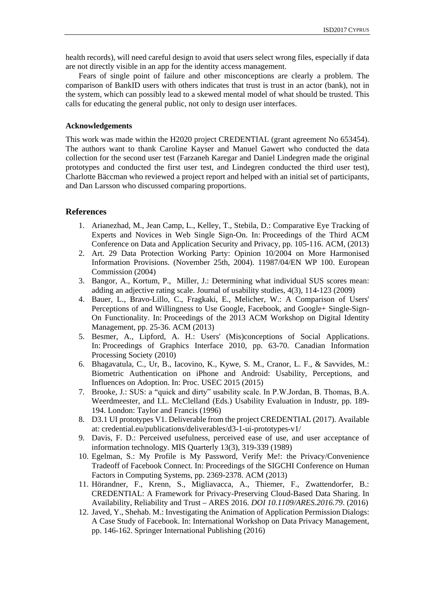health records), will need careful design to avoid that users select wrong files, especially if data are not directly visible in an app for the identity access management.

Fears of single point of failure and other misconceptions are clearly a problem. The comparison of BankID users with others indicates that trust is trust in an actor (bank), not in the system, which can possibly lead to a skewed mental model of what should be trusted. This calls for educating the general public, not only to design user interfaces.

## **Acknowledgements**

This work was made within the H2020 project CREDENTIAL (grant agreement No 653454). The authors want to thank Caroline Kayser and Manuel Gawert who conducted the data collection for the second user test (Farzaneh Karegar and Daniel Lindegren made the original prototypes and conducted the first user test, and Lindegren conducted the third user test), Charlotte Bäccman who reviewed a project report and helped with an initial set of participants, and Dan Larsson who discussed comparing proportions.

## <span id="page-10-5"></span>**References**

- 1. Arianezhad, M., Jean Camp, L., Kelley, T., Stebila, D.: Comparative Eye Tracking of Experts and Novices in Web Single Sign-On. In: Proceedings of the Third ACM Conference on Data and Application Security and Privacy, pp. 105-116. ACM, (2013)
- <span id="page-10-9"></span>2. Art. 29 Data Protection Working Party: Opinion 10/2004 on More Harmonised Information Provisions. (November 25th, 2004). 11987/04/EN WP 100. European Commission (2004)
- <span id="page-10-8"></span>3. Bangor, A., Kortum, P., Miller, J.: Determining what individual SUS scores mean: adding an adjective rating scale. Journal of usability studies, 4(3), 114-123 (2009)
- <span id="page-10-3"></span>4. Bauer, L., Bravo-Lillo, C., Fragkaki, E., Melicher, W.: A Comparison of Users' Perceptions of and Willingness to Use Google, Facebook, and Google+ Single-Sign-On Functionality. In: Proceedings of the 2013 ACM Workshop on Digital Identity Management, pp. 25-36. ACM (2013)
- <span id="page-10-1"></span>5. Besmer, A., Lipford, A. H.: Users' (Mis)conceptions of Social Applications. In: Proceedings of Graphics Interface 2010, pp. 63-70. Canadian Information Processing Society (2010)
- <span id="page-10-10"></span>6. Bhagavatula, C., Ur, B., Iacovino, K., Kywe, S. M., Cranor, L. F., & Savvides, M.: Biometric Authentication on iPhone and Android: Usability, Perceptions, and Influences on Adoption. In: Proc. USEC 2015 (2015)
- <span id="page-10-6"></span>7. Brooke, J.: SUS: a "quick and dirty" usability scale. In P.W.Jordan, B. Thomas, B.A. Weerdmeester, and I.L. McClelland (Eds.) Usability Evaluation in Industr, pp. 189- 194. London: Taylor and Francis (1996)
- <span id="page-10-7"></span>8. D3.1 UI prototypes V1. Deliverable from the project CREDENTIAL (2017). Available at: credential.eu/publications/deliverables/d3-1-ui-prototypes-v1/
- <span id="page-10-11"></span>9. Davis, F. D.: Perceived usefulness, perceived ease of use, and user acceptance of information technology. MIS Quarterly 13(3), 319-339 (1989)
- <span id="page-10-2"></span>10. Egelman, S.: My Profile is My Password, Verify Me!: the Privacy/Convenience Tradeoff of Facebook Connect. In: Proceedings of the SIGCHI Conference on Human Factors in Computing Systems, pp. 2369-2378. ACM (2013)
- <span id="page-10-0"></span>11. Hörandner, F., Krenn, S., Migliavacca, A., Thiemer, F., Zwattendorfer, B.: CREDENTIAL: A Framework for Privacy-Preserving Cloud-Based Data Sharing. In Availability, Reliability and Trust – ARES 2016*. DOI 10.1109/ARES.2016.79*. (2016)
- <span id="page-10-4"></span>12. Javed, Y., Shehab. M.: Investigating the Animation of Application Permission Dialogs: A Case Study of Facebook. In: International Workshop on Data Privacy Management, pp. 146-162. Springer International Publishing (2016)